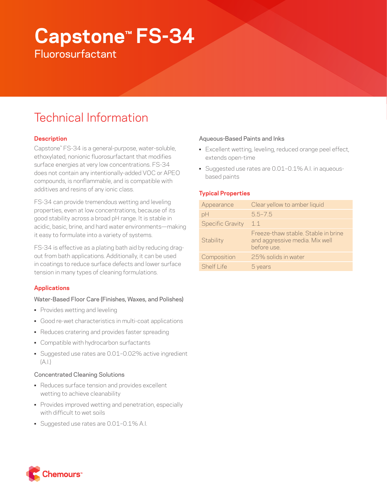# **Capstone™ FS-34**

**Fluorosurfactant** 

# Technical Information

# **Description**

Capstone™ FS-34 is a general-purpose, water-soluble, ethoxylated, nonionic fluorosurfactant that modifies surface energies at very low concentrations. FS-34 does not contain any intentionally-added VOC or APEO compounds, is nonflammable, and is compatible with additives and resins of any ionic class.

FS-34 can provide tremendous wetting and leveling properties, even at low concentrations, because of its good stability across a broad pH range. It is stable in acidic, basic, brine, and hard water environments—making it easy to formulate into a variety of systems.

FS-34 is effective as a plating bath aid by reducing dragout from bath applications. Additionally, it can be used in coatings to reduce surface defects and lower surface tension in many types of cleaning formulations.

# **Applications**

# Water-Based Floor Care (Finishes, Waxes, and Polishes)

- Provides wetting and leveling
- Good re-wet characteristics in multi-coat applications
- Reduces cratering and provides faster spreading
- Compatible with hydrocarbon surfactants
- Suggested use rates are 0.01–0.02% active ingredient  $(A.1)$

# Concentrated Cleaning Solutions

- Reduces surface tension and provides excellent wetting to achieve cleanability
- Provides improved wetting and penetration, especially with difficult to wet soils
- Suggested use rates are 0.01–0.1% A.I.

### Aqueous-Based Paints and Inks

- Excellent wetting, leveling, reduced orange peel effect, extends open-time
- Suggested use rates are 0.01–0.1% A.I. in aqueousbased paints

# **Typical Properties**

| Appearance              | Clear yellow to amber liquid                                                         |
|-------------------------|--------------------------------------------------------------------------------------|
| pH                      | $5.5 - 7.5$                                                                          |
| <b>Specific Gravity</b> | 1.1                                                                                  |
| Stability               | Freeze-thaw stable. Stable in brine<br>and aggressive media. Mix well<br>before use. |
| Composition             | 25% solids in water                                                                  |
| Shelf I ife             | 5 years                                                                              |